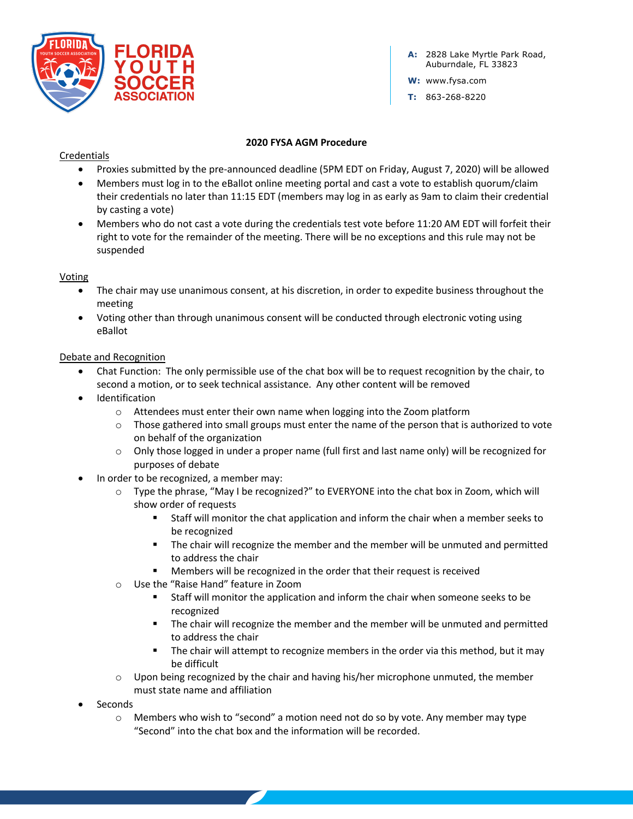

**A:** 2828 Lake Myrtle Park Road, Auburndale, FL 33823

**W:** www.fysa.com

**T:** 863-268-8220

#### **2020 FYSA AGM Procedure**

## **Credentials**

- Proxies submitted by the pre-announced deadline (5PM EDT on Friday, August 7, 2020) will be allowed
- Members must log in to the eBallot online meeting portal and cast a vote to establish quorum/claim their credentials no later than 11:15 EDT (members may log in as early as 9am to claim their credential by casting a vote)
- Members who do not cast a vote during the credentials test vote before 11:20 AM EDT will forfeit their right to vote for the remainder of the meeting. There will be no exceptions and this rule may not be suspended

## Voting

- The chair may use unanimous consent, at his discretion, in order to expedite business throughout the meeting
- Voting other than through unanimous consent will be conducted through electronic voting using eBallot

#### Debate and Recognition

- Chat Function: The only permissible use of the chat box will be to request recognition by the chair, to second a motion, or to seek technical assistance. Any other content will be removed
- Identification
	- $\circ$  Attendees must enter their own name when logging into the Zoom platform
	- $\circ$  Those gathered into small groups must enter the name of the person that is authorized to vote on behalf of the organization
	- $\circ$  Only those logged in under a proper name (full first and last name only) will be recognized for purposes of debate
- In order to be recognized, a member may:
	- o Type the phrase, "May I be recognized?" to EVERYONE into the chat box in Zoom, which will show order of requests
		- § Staff will monitor the chat application and inform the chair when a member seeks to be recognized
		- **•** The chair will recognize the member and the member will be unmuted and permitted to address the chair
		- Members will be recognized in the order that their request is received
	- o Use the "Raise Hand" feature in Zoom
		- § Staff will monitor the application and inform the chair when someone seeks to be recognized
		- **•** The chair will recognize the member and the member will be unmuted and permitted to address the chair
		- The chair will attempt to recognize members in the order via this method, but it may be difficult
	- $\circ$  Upon being recognized by the chair and having his/her microphone unmuted, the member must state name and affiliation
- **Seconds** 
	- $\circ$  Members who wish to "second" a motion need not do so by vote. Any member may type "Second" into the chat box and the information will be recorded.